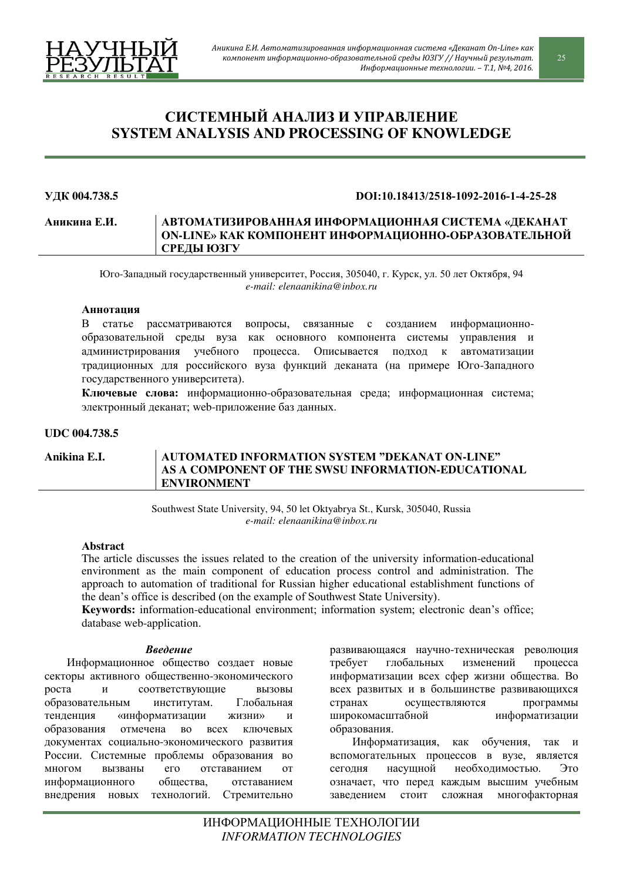

# СИСТЕМНЫЙ АНАЛИЗ И УПРАВЛЕНИЕ **SYSTEM ANALYSIS AND PROCESSING OF KNOWLEDGE**

#### **ɍȾɄ 004.738.5 DOI:10.18413/2518-1092-2016-1-4-25-28**

### **Аникина Е.И. | АВТОМАТИЗИРОВАННАЯ ИНФОРМАЦИОННАЯ СИСТЕМА «ДЕКАНАТ** ОN-LINE» КАК КОМПОНЕНТ ИНФОРМАЦИОННО-ОБРАЗОВАТЕЛЬНОЙ СРЕДЫ **ЮЗГУ**

Юго-Западный государственный университет, Россия, 305040, г. Курск, ул. 50 лет Октября, 94 *e-mail: elenaanikina@inbox.ru*

#### **Аннотация**

В статье рассматриваются вопросы, связанные с созданием информационнообразовательной среды вуза как основного компонента системы управления и администрирования учебного процесса. Описывается подход к автоматизации традиционных для российского вуза функций деканата (на примере Юго-Западного государственного университета).

Ключевые слова: информационно-образовательная среда; информационная система; электронный деканат; web-приложение баз данных.

# **UDC 004.738.5**

# **Anikina E.I. AUTOMATED INFORMATION SВSTEM "DEKANAT ON-LINE" AS A COMPONENT OF THE SWSU INFORMATION-EDUCATIONAL ENVIRONMENT**

Southwest State University, 94, 50 let Oktyabrya St., Kursk, 305040, Russia *e-mail: elenaanikina@inbox.ru*

## **Ⱥbstract**

The article discusses the issues related to the creation of the university information-educational environment as the main component of education process control and administration. The approach to automation of traditional for Russian higher educational establishment functions of the dean's office is described (on the example of Southwest State University).

Keywords: information-educational environment; information system; electronic dean's office; database web-application.

## **Введение**

Информационное общество создает новые секторы активного общественно-экономического роста и соответствующие вызовы образовательным институтам. Глобальная тенденция «информатизации жизни» и образования отмечена во всех ключевых документах социально-экономического развития России. Системные проблемы образования во многом вызваны его отставанием от информационного общества. отставанием внедрения новых технологий. Стремительно развивающаяся научно-техническая революция требует глобальных изменений процесса информатизации всех сфер жизни общества. Во всех развитых и в большинстве развивающихся странах осуществляются программы широкомасштабной информатизации образования.

Информатизация, как обучения, так и вспомогательных процессов в вузе, является сегодня насущной необходимостью. Это означает, что перед каждым высшим учебным заведением стоит сложная многофакторная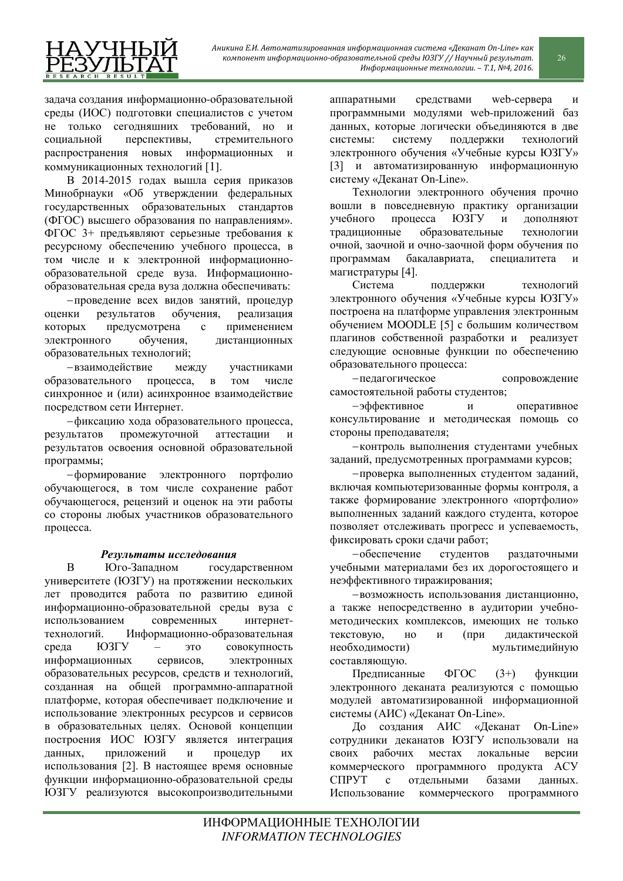

задача создания информационно-образовательной среды (ИОС) подготовки специалистов с учетом не только сегодняшних требований, но и социальной перспективы, стремительного распространения новых информационных и коммуникационных технологий [1].

В 2014-2015 годах вышла серия приказов Минобрнауки «Об утверждении федеральных государственных образовательных стандартов (ФГОС) высшего образования по направлениям». ФГОС 3+ предъявляют серьезные требования к ресурсному обеспечению учебного процесса, в том числе и к электронной информационнообразовательной среде вуза. Информационнообразовательная среда вуза должна обеспечивать:

- проведение всех видов занятий, процедур оценки результатов обучения, реализация которых предусмотрена с применением электронного обучения, дистанционных образовательных технологий;

- взаимодействие между участниками образовательного процесса, в том числе синхронное и (или) асинхронное взаимодействие посредством сети Интернет.

-фиксацию хода образовательного процесса, результатов промежуточной аттестации и результатов освоения основной образовательной программы;

-формирование электронного портфолио обучающегося, в том числе сохранение работ обучающегося, рецензий и оценок на эти работы со стороны любых участников образовательного процесса.

# Результаты исследования

В Юго-Западном государственном үниверситете (ЮЗГУ) на протяжении нескольких лет проводится работа по развитию единой информационно-образовательной среды вуза с использованием современных интернеттехнологий. Информационно-образовательная среда ЮЗГУ – это совокупность информационных сервисов, электронных образовательных ресурсов, средств и технологий, созданная на общей программно-аппаратной платформе, которая обеспечивает подключение и использование электронных ресурсов и сервисов в образовательных целях. Основой концепции построения ИОС ЮЗГУ является интеграция данных, приложений и процедур их использования [2]. В настоящее время основные функции информационно-образовательной среды ЮЗГУ реализуются высокопроизводительными

аппаратными средствами web-сервера и программными модулями web-приложений баз данных, которые логически объединяются в две системы: систему поддержки технологий электронного обучения «Учебные курсы ЮЗГУ» [3] и автоматизированную информационную систему «Деканат On-Line».

Технологии электронного обучения прочно вошли в повседневную практику организации үчебного процесса ЮЗГУ и дополняют традиционные образовательные технологии очной, заочной и очно-заочной форм обучения по программам бакалавриата, специалитета магистратуры [4].

Система поддержки технологий электронного обучения «Учебные курсы ЮЗГУ» построена на платформе управления электронным обучением MOODLE [5] с большим количеством плагинов собственной разработки и реализует следующие основные функции по обеспечению образовательного процесса:

-педагогическое сопровождение самостоятельной работы студентов;

-эффективное и оперативное консультирование и методическая помощь со стороны преподавателя;

- контроль выполнения студентами учебных заданий, предусмотренных программами курсов;

- проверка выполненных студентом заданий, включая компьютеризованные формы контроля, а также формирование электронного «портфолио» выполненных заданий каждого студента, которое позволяет отслеживать прогресс и успеваемость, фиксировать сроки сдачи работ;

-обеспечение студентов раздаточными учебными материалами без их дорогостоящего и неэффективного тиражирования;

- возможность использования дистанционно, а также непосредственно в аудитории учебнометодических комплексов, имеющих не только текстовую, но и (при дидактической необходимости) мультимедийную составляющую.

Предписанные ФГОС  $(3+)$  функции электронного деканата реализуются с помощью модулей автоматизированной информационной системы (АИС) «Деканат On-Line».

До создания АИС «Деканат On-Line» сотрудники деканатов ЮЗГУ использовали на своих рабочих местах локальные версии коммерческого программного продукта АСУ СПРУТ с отдельными базами данных. Использование коммерческого программного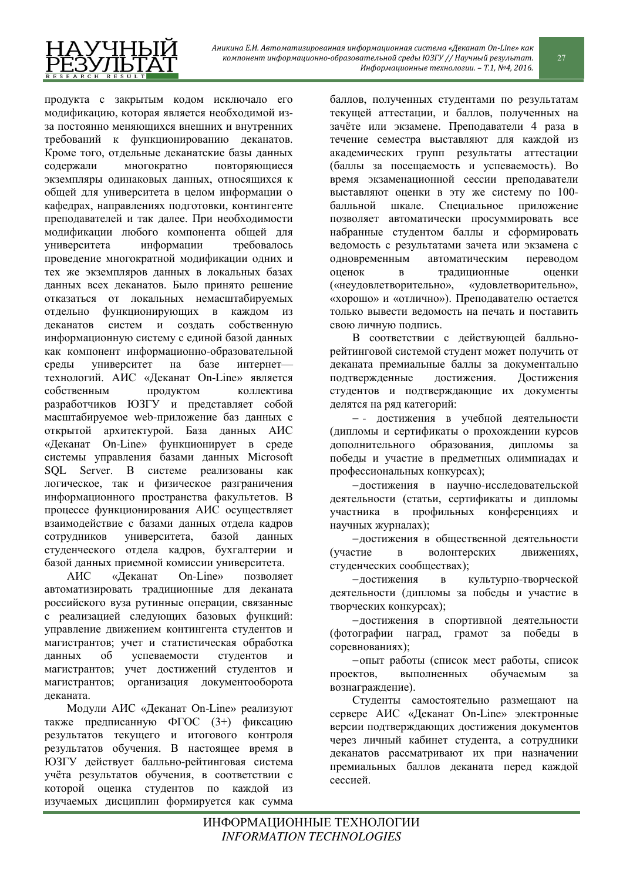

продукта с закрытым кодом исключало его модификацию, которая является необходимой изза постоянно меняющихся внешних и внутренних требований к функционированию деканатов. Кроме того, отдельные деканатские базы данных содержали многократно повторяющиеся экземпляры одинаковых данных, относящихся к общей для университета в целом информации о кафедрах, направлениях подготовки, контингенте преподавателей и так далее. При необходимости молификации любого компонента общей для үниверситета информации требовалось проведение многократной модификации одних и тех же экземпляров данных в локальных базах данных всех деканатов. Было принято решение отказаться от локальных немасштабируемых отдельно функционирующих в каждом из деканатов систем и создать собственную информационную систему с единой базой данных как компонент информационно-образовательной срелы университет на базе интернеттехнологий. АИС «Деканат On-Line» является собственным продуктом коллектива разработчиков ЮЗГУ и представляет собой масштабируемое web-приложение баз данных с открытой архитектурой. База данных АИС «Деканат On-Line» функционирует в среде системы управления базами данных Microsoft SQL Server. В системе реализованы как логическое, так и физическое разграничения информационного пространства факультетов. В процессе функционирования АИС осуществляет взаимодействие с базами данных отдела кадров сотрудников университета, базой данных студенческого отдела кадров, бухгалтерии и базой данных приемной комиссии университета.

АИС «Деканат On-Line» позволяет автоматизировать традиционные для деканата российского вуза рутинные операции, связанные с реализацией следующих базовых функций: управление движением контингента студентов и магистрантов; учет и статистическая обработка данных об успеваемости студентов и магистрантов; учет достижений студентов и магистрантов; организация документооборота леканата.

Модули АИС «Деканат On-Line» реализуют также предписанную ФГОС (3+) фиксацию результатов текущего и итогового контроля результатов обучения. В настоящее время в ЮЗГУ действует балльно-рейтинговая система учёта результатов обучения, в соответствии с которой оценка студентов по каждой из изучаемых дисциплин формируется как сумма

баллов, полученных студентами по результатам текущей аттестации, и баллов, полученных на зачёте или экзамене. Преподаватели 4 раза в течение семестра выставляют для каждой из академических групп результаты аттестации (баллы за посещаемость и успеваемость). Во время экзаменационной сессии преподаватели выставляют оценки в эту же систему по 100балльной шкале. Специальное приложение позволяет автоматически просуммировать все набранные студентом баллы и сформировать ведомость с результатами зачета или экзамена с одновременным автоматическим переводом оценок в традиционные оценки («неудовлетворительно», «удовлетворительно», «хорошо» и «отлично»). Преподавателю остается только вывести ведомость на печать и поставить свою личную подпись.

В соответствии с действующей балльнорейтинговой системой студент может получить от деканата премиальные баллы за документально подтвержденные достижения. Достижения студентов и подтверждающие их документы делятся на ряд категорий:

- достижения в учебной деятельности (дипломы и сертификаты о прохождении курсов дополнительного образования, дипломы за победы и участие в предметных олимпиадах и профессиональных конкурсах);

-достижения в научно-исследовательской деятельности (статьи, сертификаты и дипломы үчастника в профильных конференциях и научных журналах);

-достижения в общественной деятельности (участие в волонтерских движениях, студенческих сообществах);

-достижения в культурно-творческой деятельности (дипломы за побелы и участие в творческих конкурсах);

-достижения в спортивной деятельности (фотографии наград, грамот за победы в соревнованиях);

-опыт работы (список мест работы, список проектов, выполненных обучаемым за вознаграждение).

Студенты самостоятельно размещают на сервере АИС «Деканат On-Line» электронные версии подтверждающих достижения документов через личный кабинет студента, а сотрудники деканатов рассматривают их при назначении премиальных баллов деканата перед каждой сессией.